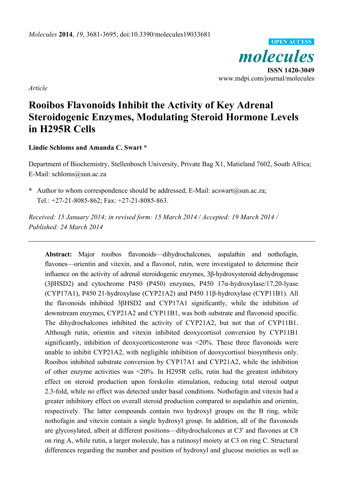

*Article* 

# **Rooibos Flavonoids Inhibit the Activity of Key Adrenal Steroidogenic Enzymes, Modulating Steroid Hormone Levels in H295R Cells**

**Lindie Schloms and Amanda C. Swart \*** 

Department of Biochemistry, Stellenbosch University, Private Bag X1, Matieland 7602, South Africa; E-Mail: schloms@sun.ac.za

**\*** Author to whom correspondence should be addressed; E-Mail: acswart@sun.ac.za; Tel.: +27-21-8085-862; Fax: +27-21-8085-863.

*Received: 15 January 2014; in revised form: 15 March 2014 / Accepted: 19 March 2014 / Published: 24 March 2014* 

**Abstract:** Major rooibos flavonoids—dihydrochalcones, aspalathin and nothofagin, flavones—orientin and vitexin, and a flavonol, rutin, were investigated to determine their influence on the activity of adrenal steroidogenic enzymes, 3β-hydroxysteroid dehydrogenase (3βHSD2) and cytochrome P450 (P450) enzymes, P450 17α-hydroxylase/17,20-lyase (CYP17A1), P450 21-hydroxylase (CYP21A2) and P450 11β-hydroxylase (CYP11B1). All the flavonoids inhibited 3βHSD2 and CYP17A1 significantly, while the inhibition of downstream enzymes, CYP21A2 and CYP11B1, was both substrate and flavonoid specific. The dihydrochalcones inhibited the activity of CYP21A2, but not that of CYP11B1. Although rutin, orientin and vitexin inhibited deoxycortisol conversion by CYP11B1 significantly, inhibition of deoxycorticosterone was <20%. These three flavonoids were unable to inhibit CYP21A2, with negligible inhibition of deoxycortisol biosynthesis only. Rooibos inhibited substrate conversion by CYP17A1 and CYP21A2, while the inhibition of other enzyme activities was <20%. In H295R cells, rutin had the greatest inhibitory effect on steroid production upon forskolin stimulation, reducing total steroid output 2.3-fold, while no effect was detected under basal conditions. Nothofagin and vitexin had a greater inhibitory effect on overall steroid production compared to aspalathin and orientin, respectively. The latter compounds contain two hydroxyl groups on the B ring, while nothofagin and vitexin contain a single hydroxyl group. In addition, all of the flavonoids are glycosylated, albeit at different positions—dihydrochalcones at C3' and flavones at C8 on ring A, while rutin, a larger molecule, has a rutinosyl moiety at C3 on ring C. Structural differences regarding the number and position of hydroxyl and glucose moieties as well as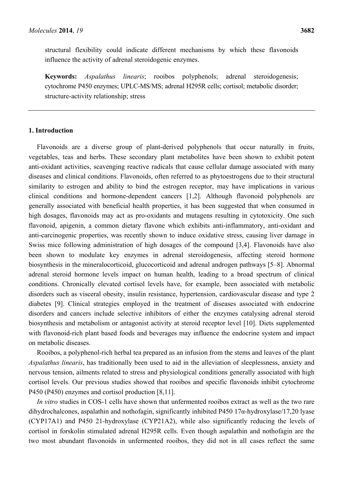structural flexibility could indicate different mechanisms by which these flavonoids influence the activity of adrenal steroidogenic enzymes.

**Keywords:** *Aspalathus linearis*; rooibos polyphenols; adrenal steroidogenesis; cytochrome P450 enzymes; UPLC-MS/MS; adrenal H295R cells; cortisol; metabolic disorder; structure-activity relationship; stress

# **1. Introduction**

Flavonoids are a diverse group of plant-derived polyphenols that occur naturally in fruits, vegetables, teas and herbs. These secondary plant metabolites have been shown to exhibit potent anti-oxidant activities, scavenging reactive radicals that cause cellular damage associated with many diseases and clinical conditions. Flavonoids, often referred to as phytoestrogens due to their structural similarity to estrogen and ability to bind the estrogen receptor, may have implications in various clinical conditions and hormone-dependent cancers [1,2]. Although flavonoid polyphenols are generally associated with beneficial health properties, it has been suggested that when consumed in high dosages, flavonoids may act as pro-oxidants and mutagens resulting in cytotoxicity. One such flavonoid, apigenin, a common dietary flavone which exhibits anti-inflammatory, anti-oxidant and anti-carcinogenic properties, was recently shown to induce oxidative stress, causing liver damage in Swiss mice following administration of high dosages of the compound [3,4]. Flavonoids have also been shown to modulate key enzymes in adrenal steroidogenesis, affecting steroid hormone biosynthesis in the mineralocorticoid, glucocorticoid and adrenal androgen pathways [5–8]. Abnormal adrenal steroid hormone levels impact on human health, leading to a broad spectrum of clinical conditions. Chronically elevated cortisol levels have, for example, been associated with metabolic disorders such as visceral obesity, insulin resistance, hypertension, cardiovascular disease and type 2 diabetes [9]. Clinical strategies employed in the treatment of diseases associated with endocrine disorders and cancers include selective inhibitors of either the enzymes catalysing adrenal steroid biosynthesis and metabolism or antagonist activity at steroid receptor level [10]. Diets supplemented with flavonoid-rich plant based foods and beverages may influence the endocrine system and impact on metabolic diseases.

Rooibos, a polyphenol-rich herbal tea prepared as an infusion from the stems and leaves of the plant *Aspalathus linearis*, has traditionally been used to aid in the alleviation of sleeplessness, anxiety and nervous tension, ailments related to stress and physiological conditions generally associated with high cortisol levels. Our previous studies showed that rooibos and specific flavonoids inhibit cytochrome P450 (P450) enzymes and cortisol production [8,11].

*In vitro* studies in COS-1 cells have shown that unfermented rooibos extract as well as the two rare dihydrochalcones, aspalathin and nothofagin, significantly inhibited P450 17α-hydroxylase/17,20 lyase (CYP17A1) and P450 21-hydroxylase (CYP21A2), while also significantly reducing the levels of cortisol in forskolin stimulated adrenal H295R cells. Even though aspalathin and nothofagin are the two most abundant flavonoids in unfermented rooibos, they did not in all cases reflect the same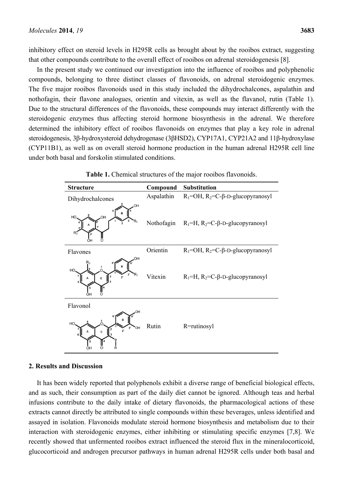inhibitory effect on steroid levels in H295R cells as brought about by the rooibos extract, suggesting that other compounds contribute to the overall effect of rooibos on adrenal steroidogenesis [8].

In the present study we continued our investigation into the influence of rooibos and polyphenolic compounds, belonging to three distinct classes of flavonoids, on adrenal steroidogenic enzymes. The five major rooibos flavonoids used in this study included the dihydrochalcones, aspalathin and nothofagin, their flavone analogues, orientin and vitexin, as well as the flavanol, rutin (Table 1). Due to the structural differences of the flavonoids, these compounds may interact differently with the steroidogenic enzymes thus affecting steroid hormone biosynthesis in the adrenal. We therefore determined the inhibitory effect of rooibos flavonoids on enzymes that play a key role in adrenal steroidogenesis, 3β-hydroxysteroid dehydrogenase (3βHSD2), CYP17A1, CYP21A2 and 11β-hydroxylase (CYP11B1), as well as on overall steroid hormone production in the human adrenal H295R cell line under both basal and forskolin stimulated conditions.

| <b>Structure</b>                                     | Compound   | <b>Substitution</b>                                      |
|------------------------------------------------------|------------|----------------------------------------------------------|
| Dihydrochalcones                                     | Aspalathin | $R_1 = OH$ , $R_2 = C$ - $\beta$ -D-glucopyranosyl       |
| OH<br>B<br>OH<br>HO<br>∩<br>OН                       |            | Nothofagin $R_1=H$ , $R_2=C$ - $\beta$ -D-glucopyranosyl |
| Flavones                                             | Orientin   | $R_1 = OH$ , $R_2 = C$ - $\beta$ -D-glucopyranosyl       |
| OH<br>HO<br>2'<br>OH                                 | Vitexin    | $R_1=H$ , $R_2=C$ - $\beta$ -D-glucopyranosyl            |
| Flavonol<br>HO<br>3'<br>'OH<br>$2^{\circ}$<br>C<br>Ω | Rutin      | R=rutinosyl                                              |

**Table 1.** Chemical structures of the major rooibos flavonoids.

#### **2. Results and Discussion**

It has been widely reported that polyphenols exhibit a diverse range of beneficial biological effects, and as such, their consumption as part of the daily diet cannot be ignored. Although teas and herbal infusions contribute to the daily intake of dietary flavonoids, the pharmacological actions of these extracts cannot directly be attributed to single compounds within these beverages, unless identified and assayed in isolation. Flavonoids modulate steroid hormone biosynthesis and metabolism due to their interaction with steroidogenic enzymes, either inhibiting or stimulating specific enzymes [7,8]. We recently showed that unfermented rooibos extract influenced the steroid flux in the mineralocorticoid, glucocorticoid and androgen precursor pathways in human adrenal H295R cells under both basal and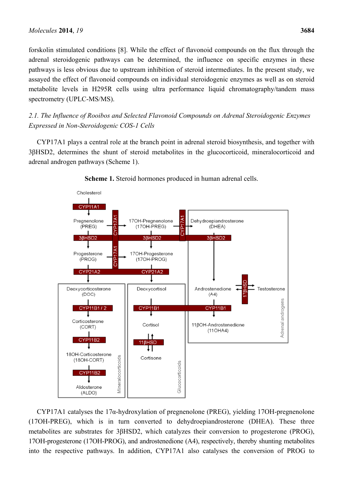forskolin stimulated conditions [8]. While the effect of flavonoid compounds on the flux through the adrenal steroidogenic pathways can be determined, the influence on specific enzymes in these pathways is less obvious due to upstream inhibition of steroid intermediates. In the present study, we assayed the effect of flavonoid compounds on individual steroidogenic enzymes as well as on steroid metabolite levels in H295R cells using ultra performance liquid chromatography/tandem mass spectrometry (UPLC-MS/MS).

*2.1. The Influence of Rooibos and Selected Flavonoid Compounds on Adrenal Steroidogenic Enzymes Expressed in Non-Steroidogenic COS-1 Cells* 

CYP17A1 plays a central role at the branch point in adrenal steroid biosynthesis, and together with 3βHSD2, determines the shunt of steroid metabolites in the glucocorticoid, mineralocorticoid and adrenal androgen pathways (Scheme 1).



**Scheme 1.** Steroid hormones produced in human adrenal cells.

CYP17A1 catalyses the 17α-hydroxylation of pregnenolone (PREG), yielding 17OH-pregnenolone (17OH-PREG), which is in turn converted to dehydroepiandrosterone (DHEA). These three metabolites are substrates for 3βHSD2, which catalyzes their conversion to progesterone (PROG), 17OH-progesterone (17OH-PROG), and androstenedione (A4), respectively, thereby shunting metabolites into the respective pathways. In addition, CYP17A1 also catalyses the conversion of PROG to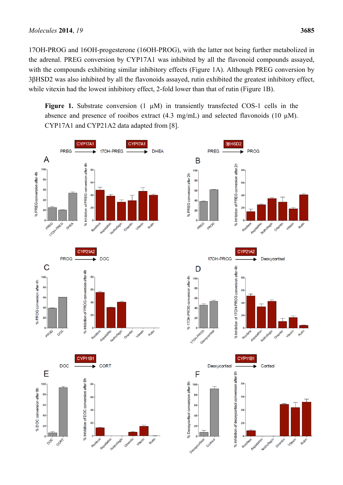17OH-PROG and 16OH-progesterone (16OH-PROG), with the latter not being further metabolized in the adrenal. PREG conversion by CYP17A1 was inhibited by all the flavonoid compounds assayed, with the compounds exhibiting similar inhibitory effects (Figure 1A). Although PREG conversion by 3βHSD2 was also inhibited by all the flavonoids assayed, rutin exhibited the greatest inhibitory effect, while vitexin had the lowest inhibitory effect, 2-fold lower than that of rutin (Figure 1B).

Figure 1. Substrate conversion  $(1 \mu M)$  in transiently transfected COS-1 cells in the absence and presence of rooibos extract  $(4.3 \text{ mg/mL})$  and selected flavonoids  $(10 \text{ µM})$ . CYP17A1 and CYP21A2 data adapted from [8].

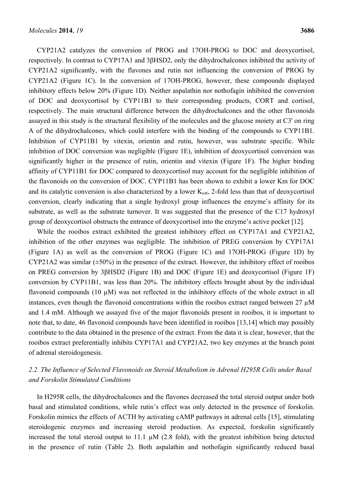CYP21A2 catalyzes the conversion of PROG and 17OH-PROG to DOC and deoxycortisol, respectively. In contrast to CYP17A1 and 3βHSD2, only the dihydrochalcones inhibited the activity of CYP21A2 significantly, with the flavones and rutin not influencing the conversion of PROG by CYP21A2 (Figure 1C). In the conversion of 17OH-PROG, however, these compounds displayed inhibitory effects below 20% (Figure 1D). Neither aspalathin nor nothofagin inhibited the conversion of DOC and deoxycortisol by CYP11B1 to their corresponding products, CORT and cortisol, respectively. The main structural difference between the dihydrochalcones and the other flavonoids assayed in this study is the structural flexibility of the molecules and the glucose moiety at C3' on ring A of the dihydrochalcones, which could interfere with the binding of the compounds to CYP11B1. Inhibition of CYP11B1 by vitexin, orientin and rutin, however, was substrate specific. While inhibition of DOC conversion was negligible (Figure 1E), inhibition of deoxycortisol conversion was significantly higher in the presence of rutin, orientin and vitexin (Figure 1F). The higher binding affinity of CYP11B1 for DOC compared to deoxycortisol may account for the negligible inhibition of the flavonoids on the conversion of DOC. CYP11B1 has been shown to exhibit a lower Km for DOC and its catalytic conversion is also characterized by a lower  $K_{cat}$ , 2-fold less than that of deoxycortisol conversion, clearly indicating that a single hydroxyl group influences the enzyme's affinity for its substrate, as well as the substrate turnover. It was suggested that the presence of the C17 hydroxyl group of deoxycortisol obstructs the entrance of deoxycortisol into the enzyme's active pocket [12].

While the rooibos extract exhibited the greatest inhibitory effect on CYP17A1 and CYP21A2, inhibition of the other enzymes was negligible. The inhibition of PREG conversion by CYP17A1 (Figure 1A) as well as the conversion of PROG (Figure 1C) and 17OH-PROG (Figure 1D) by CYP21A2 was similar  $(\pm 50\%)$  in the presence of the extract. However, the inhibitory effect of rooibos on PREG conversion by 3βHSD2 (Figure 1B) and DOC (Figure 1E) and deoxycortisol (Figure 1F) conversion by CYP11B1, was less than 20%. The inhibitory effects brought about by the individual flavonoid compounds (10  $\mu$ M) was not reflected in the inhibitory effects of the whole extract in all instances, even though the flavonoid concentrations within the rooibos extract ranged between  $27 \mu M$ and 1.4 mM. Although we assayed five of the major flavonoids present in rooibos, it is important to note that, to date, 46 flavonoid compounds have been identified in rooibos [13,14] which may possibly contribute to the data obtained in the presence of the extract. From the data it is clear, however, that the rooibos extract preferentially inhibits CYP17A1 and CYP21A2, two key enzymes at the branch point of adrenal steroidogenesis.

# *2.2. The Influence of Selected Flavonoids on Steroid Metabolism in Adrenal H295R Cells under Basal and Forskolin Stimulated Conditions*

In H295R cells, the dihydrochalcones and the flavones decreased the total steroid output under both basal and stimulated conditions, while rutin's effect was only detected in the presence of forskolin. Forskolin mimics the effects of ACTH by activating cAMP pathways in adrenal cells [15], stimulating steroidogenic enzymes and increasing steroid production. As expected, forskolin significantly increased the total steroid output to 11.1  $\mu$ M (2.8 fold), with the greatest inhibition being detected in the presence of rutin (Table 2). Both aspalathin and nothofagin significantly reduced basal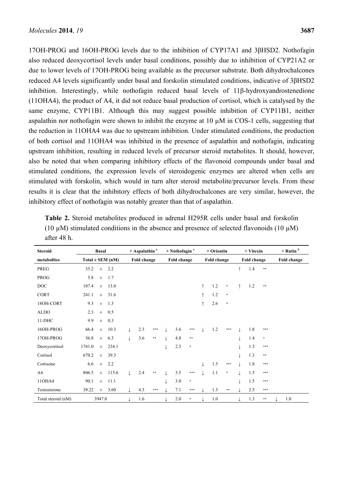17OH-PROG and 16OH-PROG levels due to the inhibition of CYP17A1 and 3βHSD2. Nothofagin also reduced deoxycortisol levels under basal conditions, possibly due to inhibition of CYP21A2 or due to lower levels of 17OH-PROG being available as the precursor substrate. Both dihydrochalcones reduced A4 levels significantly under basal and forskolin stimulated conditions, indicative of 3βHSD2 inhibition. Interestingly, while nothofagin reduced basal levels of 11β-hydroxyandrostenedione (11OHA4), the product of A4, it did not reduce basal production of cortisol, which is catalysed by the same enzyme, CYP11B1. Although this may suggest possible inhibition of CYP11B1, neither aspalathin nor nothofagin were shown to inhibit the enzyme at 10 µM in COS-1 cells, suggesting that the reduction in 11OHA4 was due to upstream inhibition. Under stimulated conditions, the production of both cortisol and 11OHA4 was inhibited in the presence of aspalathin and nothofagin, indicating upstream inhibition, resulting in reduced levels of precursor steroid metabolites. It should, however, also be noted that when comparing inhibitory effects of the flavonoid compounds under basal and stimulated conditions, the expression levels of steroidogenic enzymes are altered when cells are stimulated with forskolin, which would in turn alter steroid metabolite/precursor levels. From these results it is clear that the inhibitory effects of both dihydrochalcones are very similar, however, the inhibitory effect of nothofagin was notably greater than that of aspalathin.

| <b>Steroid</b>     | <b>Basal</b>         |          | $+$ Aspalathin <sup>a</sup> |     | $+$ Nothofagin $^a$ |            |             |        | + Orientin |             |     | + Vitexin |            | $+$ Rutin $b$ |            |     |  |
|--------------------|----------------------|----------|-----------------------------|-----|---------------------|------------|-------------|--------|------------|-------------|-----|-----------|------------|---------------|------------|-----|--|
| metabolites        | $Total \pm SEM (nM)$ |          | Fold change                 |     | Fold change         |            | Fold change |        |            | Fold change |     |           |            | Fold change   |            |     |  |
| PREG               | 35.2                 | $\pm$    | 2.2                         |     |                     |            |             |        |            |             |     |           | $\uparrow$ | 1.4           | $\ast\ast$ |     |  |
| <b>PROG</b>        | 5.8                  | $\pm$    | 1.7                         |     |                     |            |             |        |            |             |     |           |            |               |            |     |  |
| DOC                | 107.4                | $\pm$    | 13.0                        |     |                     |            |             |        |            | $\uparrow$  | 1.2 | $\ast$    | ↑          | 1.2           | $\pm\pm$   |     |  |
| <b>CORT</b>        | 241.1                | $\pm$    | 31.6                        |     |                     |            |             |        |            | $\uparrow$  | 1.2 | $\ast$    |            |               |            |     |  |
| 18OH-CORT          | 9.3                  | $\pm$    | 1.3                         |     |                     |            |             |        |            | $\uparrow$  | 2.6 | $\ast$    |            |               |            |     |  |
| <b>ALDO</b>        | 2.3                  | $\pm$    | 0.5                         |     |                     |            |             |        |            |             |     |           |            |               |            |     |  |
| $11-DHC$           | 9.9                  | $\pm$    | 0.3                         |     |                     |            |             |        |            |             |     |           |            |               |            |     |  |
| 16OH-PROG          | 66.4                 | $\pm$    | 10.3                        |     | 2.3                 | $***$      |             | 3.6    | ***        |             | 1.2 | ***       |            | 1.8           | ***        |     |  |
| 17OH-PROG          | 56.8                 | $\pm$    | 6.3                         |     | 3.6                 | **         |             | 4.8    | $\ast\ast$ |             |     |           |            | 1.4           | $\ast$     |     |  |
| Deoxycortisol      | 1741.0               | $\pm$    | 234.1                       |     |                     |            |             | 2.3    | $\ast$     |             |     |           |            | 1.3           | ***        |     |  |
| Cortisol           | 670.2                | $\pm$    | 39.3                        |     |                     |            |             |        |            |             |     |           |            | 1.3           | $\pm\pm$   |     |  |
| Cortisone          | 6.6                  | $\pm$    | 2.2                         |     |                     |            |             |        |            |             | 1.5 | $* * *$   |            | 1.8           | ***        |     |  |
| A4                 | 806.5                | $\pm$    | 115.6                       |     | 2.4                 | $\ast\ast$ |             | 3.5    | ***        |             | 1.1 | $\ast$    |            | 1.5           | ***        |     |  |
| 11OHA4             | 90.1                 | $\pm$    | 11.1                        |     |                     |            |             | 3.0    | $\ast$     |             |     |           |            | 1.5           | ***        |     |  |
| Testosterone       | 39.22                | $_{\pm}$ | 3.60                        |     | 4.3                 | $***$      |             | 7.1    | $* * *$    |             | 1.3 | $\pm\pm$  |            | 2.5           | $***$      |     |  |
| Total steroid (nM) | 3947.0               |          |                             | 1.6 |                     |            | 2.0         | $\ast$ |            | 1.0         |     |           | 1.3        | $\pm\pm$      |            | 1.0 |  |

**Table 2.** Steroid metabolites produced in adrenal H295R cells under basal and forskolin (10  $\mu$ M) stimulated conditions in the absence and presence of selected flavonoids (10  $\mu$ M) after 48 h.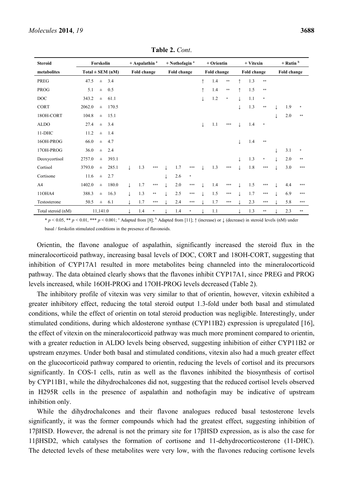| <b>Steroid</b>     | Forskolin            |                   | $+$ Aspalathin <sup>a</sup> |             | $+$ Nothofagin $a$ |  |             |         | + Orientin  |     |        | + Vitexin   |     | $+$ Rutin $b$ |             |     |        |
|--------------------|----------------------|-------------------|-----------------------------|-------------|--------------------|--|-------------|---------|-------------|-----|--------|-------------|-----|---------------|-------------|-----|--------|
| metabolites        | $Total \pm SEM$ (nM) |                   |                             | Fold change |                    |  | Fold change |         | Fold change |     |        | Fold change |     |               | Fold change |     |        |
| PREG               | 47.5<br>$\pm$        | 3.4               |                             |             |                    |  |             |         | $\uparrow$  | 1.4 | $**$   |             | 1.3 | $\pm\pm$      |             |     |        |
| <b>PROG</b>        | 5.1                  | 0.5<br>$\pm$      |                             |             |                    |  |             |         | $\uparrow$  | 1.4 | $**$   | $\uparrow$  | 1.5 | $* *$         |             |     |        |
| DOC                | 343.2                | 61.1<br>$\pm$     |                             |             |                    |  |             |         |             | 1.2 | $\ast$ |             | 1.1 | $\ast$        |             |     |        |
| <b>CORT</b>        | 2062.0               | 170.5<br>$\pm$    |                             |             |                    |  |             |         |             |     |        |             | 1.3 | $* *$         |             | 1.9 | $\ast$ |
| 18OH-CORT          | 104.8                | 15.1<br>$\pm$     |                             |             |                    |  |             |         |             |     |        |             |     |               |             | 2.0 | **     |
| <b>ALDO</b>        | 27.4                 | 3.4<br>$\pm$      |                             |             |                    |  |             |         | T           | 1.1 | ***    |             | 1.4 | $\ast$        |             |     |        |
| $11-DHC$           | 11.2                 | 1.4<br>$\pm$      |                             |             |                    |  |             |         |             |     |        |             |     |               |             |     |        |
| 16OH-PROG          | 66.0<br>$\pm$        | 4.7               |                             |             |                    |  |             |         |             |     |        |             | 1.4 | $* *$         |             |     |        |
| 17OH-PROG          | 36.0<br>$\pm$        | 2.4               |                             |             |                    |  |             |         |             |     |        |             |     |               |             | 3.1 | $\ast$ |
| Deoxycortisol      | 2757.0               | 393.1<br>$_{\pm}$ |                             |             |                    |  |             |         |             |     |        |             | 1.3 | $\ast$        |             | 2.0 | **     |
| Cortisol           | 3793.0               | 285.1<br>$\pm$    |                             | 1.3         | $* * *$            |  | 1.7         | ***     |             | 1.3 | ***    |             | 1.8 | ***           |             | 3.0 | ***    |
| Cortisone          | 11.6<br>$\pm$        | 2.7               |                             |             |                    |  | 2.6         | $\ast$  |             |     |        |             |     |               |             |     |        |
| A <sub>4</sub>     | 1402.0               | 180.0<br>$_{\pm}$ | $\downarrow$                | 1.7         | ***                |  | 2.0         | ***     |             | 1.4 | ***    |             | 1.5 | ***           |             | 4.4 | ***    |
| 11OHA4             | 388.3                | 16.3<br>$\pm$     |                             | 1.3         | $\ast\ast$         |  | 2.5         | $* * *$ |             | 1.5 | ***    |             | 1.7 | ***           |             | 6.9 | ***    |
| Testosterone       | 50.5                 | 6.1<br>$\pm$      |                             | 1.7         | ***                |  | 2.4         | ***     |             | 1.7 | ***    |             | 2.3 | ***           |             | 5.8 | ***    |
| Total steroid (nM) | 11.141.0             |                   |                             | 1.4         | *                  |  | 1.4         | *       |             | 1.1 |        |             | 1.3 | **            |             | 2.3 | **     |

**Table 2.** *Cont*.

\*  $p < 0.05$ , \*\*  $p < 0.01$ , \*\*\*  $p < 0.001$ ; a Adapted from [8]; b Adapted from [11];  $\uparrow$  (increase) or  $\downarrow$  (decrease) in steroid levels (nM) under basal / forskolin stimulated conditions in the presence of flavonoids.

Orientin, the flavone analogue of aspalathin, significantly increased the steroid flux in the mineralocorticoid pathway, increasing basal levels of DOC, CORT and 18OH-CORT, suggesting that inhibition of CYP17A1 resulted in more metabolites being channeled into the mineralocorticoid pathway. The data obtained clearly shows that the flavones inhibit CYP17A1, since PREG and PROG levels increased, while 16OH-PROG and 17OH-PROG levels decreased (Table 2).

The inhibitory profile of vitexin was very similar to that of orientin, however, vitexin exhibited a greater inhibitory effect, reducing the total steroid output 1.3-fold under both basal and stimulated conditions, while the effect of orientin on total steroid production was negligible. Interestingly, under stimulated conditions, during which aldosterone synthase (CYP11B2) expression is upregulated [16], the effect of vitexin on the mineralocorticoid pathway was much more prominent compared to orientin, with a greater reduction in ALDO levels being observed, suggesting inhibition of either CYP11B2 or upstream enzymes. Under both basal and stimulated conditions, vitexin also had a much greater effect on the glucocorticoid pathway compared to orientin, reducing the levels of cortisol and its precursors significantly. In COS-1 cells, rutin as well as the flavones inhibited the biosynthesis of cortisol by CYP11B1, while the dihydrochalcones did not, suggesting that the reduced cortisol levels observed in H295R cells in the presence of aspalathin and nothofagin may be indicative of upstream inhibition only.

While the dihydrochalcones and their flavone analogues reduced basal testosterone levels significantly, it was the former compounds which had the greatest effect, suggesting inhibition of 17βHSD. However, the adrenal is not the primary site for 17βHSD expression, as is also the case for 11βHSD2, which catalyses the formation of cortisone and 11-dehydrocorticosterone (11-DHC). The detected levels of these metabolites were very low, with the flavones reducing cortisone levels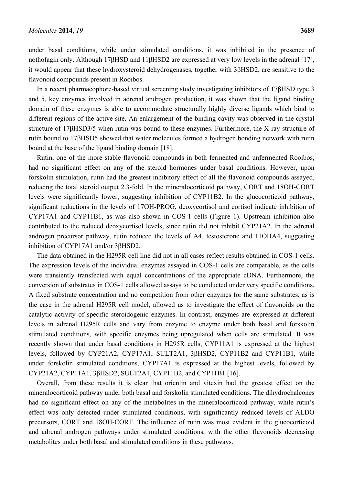under basal conditions, while under stimulated conditions, it was inhibited in the presence of nothofagin only. Although 17βHSD and 11βHSD2 are expressed at very low levels in the adrenal [17], it would appear that these hydroxysteroid dehydrogenases, together with 3βHSD2, are sensitive to the flavonoid compounds present in Rooibos.

In a recent pharmacophore-based virtual screening study investigating inhibitors of 17βHSD type 3 and 5, key enzymes involved in adrenal androgen production, it was shown that the ligand binding domain of these enzymes is able to accommodate structurally highly diverse ligands which bind to different regions of the active site. An enlargement of the binding cavity was observed in the crystal structure of 17βHSD3/5 when rutin was bound to these enzymes. Furthermore, the X-ray structure of rutin bound to 17βHSD5 showed that water molecules formed a hydrogen bonding network with rutin bound at the base of the ligand binding domain [18].

Rutin, one of the more stable flavonoid compounds in both fermented and unfermented Rooibos, had no significant effect on any of the steroid hormones under basal conditions. However, upon forskolin stimulation, rutin had the greatest inhibitory effect of all the flavonoid compounds assayed, reducing the total steroid output 2.3-fold. In the mineralocorticoid pathway, CORT and 18OH-CORT levels were significantly lower, suggesting inhibition of CYP11B2. In the glucocorticoid pathway, significant reductions in the levels of 17OH-PROG, deoxycortisol and cortisol indicate inhibition of CYP17A1 and CYP11B1, as was also shown in COS-1 cells (Figure 1). Upstream inhibition also contributed to the reduced deoxycortisol levels, since rutin did not inhibit CYP21A2. In the adrenal androgen precursor pathway, rutin reduced the levels of A4, testosterone and 11OHA4, suggesting inhibition of CYP17A1 and/or 3βHSD2.

The data obtained in the H295R cell line did not in all cases reflect results obtained in COS-1 cells. The expression levels of the individual enzymes assayed in COS-1 cells are comparable, as the cells were transiently transfected with equal concentrations of the appropriate cDNA. Furthermore, the conversion of substrates in COS-1 cells allowed assays to be conducted under very specific conditions. A fixed substrate concentration and no competition from other enzymes for the same substrates, as is the case in the adrenal H295R cell model, allowed us to investigate the effect of flavonoids on the catalytic activity of specific steroidogenic enzymes. In contrast, enzymes are expressed at different levels in adrenal H295R cells and vary from enzyme to enzyme under both basal and forskolin stimulated conditions, with specific enzymes being upregulated when cells are stimulated. It was recently shown that under basal conditions in H295R cells, CYP11A1 is expressed at the highest levels, followed by CYP21A2, CYP17A1, SULT2A1, 3βHSD2, CYP11B2 and CYP11B1, while under forskolin stimulated conditions, CYP17A1 is expressed at the highest levels, followed by CYP21A2, CYP11A1, 3βHSD2, SULT2A1, CYP11B2, and CYP11B1 [16].

Overall, from these results it is clear that orientin and vitexin had the greatest effect on the mineralocorticoid pathway under both basal and forskolin stimulated conditions. The dihydrochalcones had no significant effect on any of the metabolites in the mineralocorticoid pathway, while rutin's effect was only detected under stimulated conditions, with significantly reduced levels of ALDO precursors, CORT and 18OH-CORT. The influence of rutin was most evident in the glucocorticoid and adrenal androgen pathways under stimulated conditions, with the other flavonoids decreasing metabolites under both basal and stimulated conditions in these pathways.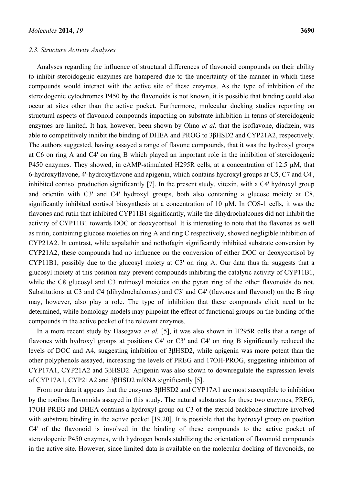#### *2.3. Structure Activity Analyses*

Analyses regarding the influence of structural differences of flavonoid compounds on their ability to inhibit steroidogenic enzymes are hampered due to the uncertainty of the manner in which these compounds would interact with the active site of these enzymes. As the type of inhibition of the steroidogenic cytochromes P450 by the flavonoids is not known, it is possible that binding could also occur at sites other than the active pocket. Furthermore, molecular docking studies reporting on structural aspects of flavonoid compounds impacting on substrate inhibition in terms of steroidogenic enzymes are limited. It has, however, been shown by Ohno *et al.* that the isoflavone, diadzein, was able to competitively inhibit the binding of DHEA and PROG to 3βHSD2 and CYP21A2, respectively. The authors suggested, having assayed a range of flavone compounds, that it was the hydroxyl groups at C6 on ring A and C4' on ring B which played an important role in the inhibition of steroidogenic P450 enzymes. They showed, in cAMP-stimulated H295R cells, at a concentration of 12.5  $\mu$ M, that 6-hydroxyflavone, 4'-hydroxyflavone and apigenin, which contains hydroxyl groups at C5, C7 and C4', inhibited cortisol production significantly [7]. In the present study, vitexin, with a C4' hydroxyl group and orientin with C3' and C4' hydroxyl groups, both also containing a glucose moiety at C8, significantly inhibited cortisol biosynthesis at a concentration of 10 µM. In COS-1 cells, it was the flavones and rutin that inhibited CYP11B1 significantly, while the dihydrochalcones did not inhibit the activity of CYP11B1 towards DOC or deoxycortisol. It is interesting to note that the flavones as well as rutin, containing glucose moieties on ring A and ring C respectively, showed negligible inhibition of CYP21A2. In contrast, while aspalathin and nothofagin significantly inhibited substrate conversion by CYP21A2, these compounds had no influence on the conversion of either DOC or deoxycortisol by CYP11B1, possibly due to the glucosyl moiety at C3' on ring A. Our data thus far suggests that a glucosyl moiety at this position may prevent compounds inhibiting the catalytic activity of CYP11B1, while the C8 glucosyl and C3 rutinosyl moieties on the pyran ring of the other flavonoids do not. Substitutions at C3 and C4 (dihydrochalcones) and C3' and C4' (flavones and flavonol) on the B ring may, however, also play a role. The type of inhibition that these compounds elicit need to be determined, while homology models may pinpoint the effect of functional groups on the binding of the compounds in the active pocket of the relevant enzymes.

In a more recent study by Hasegawa *et al.* [5], it was also shown in H295R cells that a range of flavones with hydroxyl groups at positions C4' or C3' and C4' on ring B significantly reduced the levels of DOC and A4, suggesting inhibition of 3βHSD2, while apigenin was more potent than the other polyphenols assayed, increasing the levels of PREG and 17OH-PROG, suggesting inhibition of CYP17A1, CYP21A2 and 3βHSD2. Apigenin was also shown to downregulate the expression levels of CYP17A1, CYP21A2 and 3βHSD2 mRNA significantly [5].

From our data it appears that the enzymes 3βHSD2 and CYP17A1 are most susceptible to inhibition by the rooibos flavonoids assayed in this study. The natural substrates for these two enzymes, PREG, 17OH-PREG and DHEA contains a hydroxyl group on C3 of the steroid backbone structure involved with substrate binding in the active pocket [19,20]. It is possible that the hydroxyl group on position C4' of the flavonoid is involved in the binding of these compounds to the active pocket of steroidogenic P450 enzymes, with hydrogen bonds stabilizing the orientation of flavonoid compounds in the active site. However, since limited data is available on the molecular docking of flavonoids, no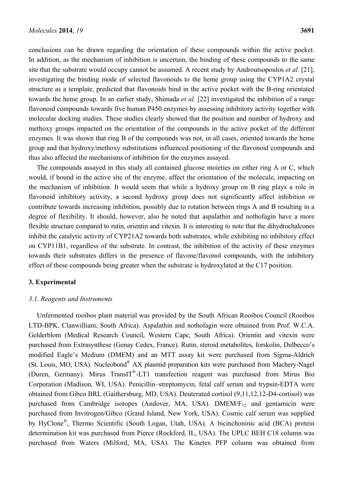conclusions can be drawn regarding the orientation of these compounds within the active pocket. In addition, as the mechanism of inhibition is uncertain, the binding of these compounds to the same site that the substrate would occupy cannot be assumed. A recent study by Androutsopoulos *et al.* [21], investigating the binding mode of selected flavonoids to the heme group using the CYP1A2 crystal structure as a template, predicted that flavonoids bind in the active pocket with the B-ring orientated towards the heme group. In an earlier study, Shimada *et al.* [22] investigated the inhibition of a range flavonoid compounds towards five human P450 enzymes by assessing inhibitory activity together with molecular docking studies. These studies clearly showed that the position and number of hydroxy and methoxy groups impacted on the orientation of the compounds in the active pocket of the different enzymes. It was shown that ring B of the compounds was not, in all cases, oriented towards the heme group and that hydroxy/methoxy substitutions influenced positioning of the flavonoid compounds and thus also affected the mechanisms of inhibition for the enzymes assayed.

The compounds assayed in this study all contained glucose moieties on either ring A or C, which would, if bound in the active site of the enzyme, affect the orientation of the molecule, impacting on the mechanism of inhibition. It would seem that while a hydroxy group on B ring plays a role in flavonoid inhibitory activity, a second hydroxy group does not significantly affect inhibition or contribute towards increasing inhibition, possibly due to rotation between rings A and B resulting in a degree of flexibility. It should, however, also be noted that aspalathin and nothofagin have a more flexible structure compared to rutin, orientin and vitexin. It is interesting to note that the dihydrochalcones inhibit the catalytic activity of CYP21A2 towards both substrates, while exhibiting no inhibitory effect on CYP11B1, regardless of the substrate. In contrast, the inhibition of the activity of these enzymes towards their substrates differs in the presence of flavone/flavonol compounds, with the inhibitory effect of these compounds being greater when the substrate is hydroxylated at the C17 position.

#### **3. Experimental**

#### *3.1. Reagents and Instruments*

Unfermented rooibos plant material was provided by the South African Rooibos Council (Rooibos LTD-BPK, Clanwilliam, South Africa). Aspalathin and nothofagin were obtained from Prof. W.C.A. Gelderblom (Medical Research Council, Western Cape, South Africa). Orientin and vitexin were purchased from Extrasynthese (Genay Cedex, France). Rutin, steroid metabolites, forskolin, Dulbecco's modified Eagle's Medium (DMEM) and an MTT assay kit were purchased from Sigma-Aldrich (St. Louis, MO, USA). Nucleobond® AX plasmid preparation kits were purchased from Machery-Nagel (Duren, Germany). Mirus TransIT®-LT1 transfection reagent was purchased from Mirus Bio Corporation (Madison, WI, USA). Penicillin–streptomycin, fetal calf serum and trypsin-EDTA were obtained from Gibco BRL (Gaithersburg, MD, USA). Deuterated cortisol (9,11,12,12-D4-cortisol) was purchased from Cambridge isotopes (Andover, MA, USA).  $DMEM/F_{12}$  and gentamicin were purchased from Invitrogen/Gibco (Grand Island, New York, USA). Cosmic calf serum was supplied by HyClone®, Thermo Scientific (South Logan, Utah, USA). A bicinchoninic acid (BCA) protein determination kit was purchased from Pierce (Rockford, IL, USA). The UPLC BEH C18 column was purchased from Waters (Milford, MA, USA). The Kinetex PFP column was obtained from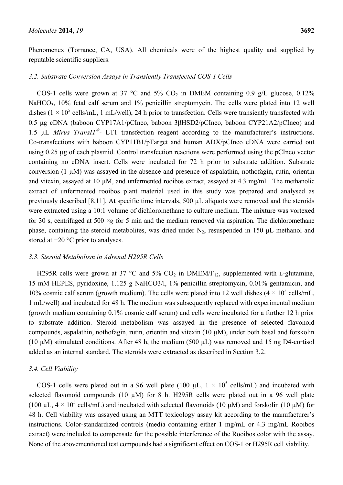Phenomenex (Torrance, CA, USA). All chemicals were of the highest quality and supplied by reputable scientific suppliers.

#### *3.2. Substrate Conversion Assays in Transiently Transfected COS-1 Cells*

COS-1 cells were grown at 37 °C and 5% CO<sub>2</sub> in DMEM containing 0.9 g/L glucose, 0.12% NaHCO<sub>3</sub>, 10% fetal calf serum and 1% penicillin streptomycin. The cells were plated into 12 well dishes  $(1 \times 10^5 \text{ cells/mL}, 1 \text{ mL/well}), 24 \text{ h prior to transfection. Cells were transiently transfected with}$ 0.5 μg cDNA (baboon CYP17A1/pCIneo, baboon 3βHSD2/pCIneo, baboon CYP21A2/pCIneo) and 1.5 µL *Mirus TransIT®*- LT1 transfection reagent according to the manufacturer's instructions. Co-transfections with baboon CYP11B1/pTarget and human ADX/pCIneo cDNA were carried out using 0.25 µg of each plasmid. Control transfection reactions were performed using the pCIneo vector containing no cDNA insert. Cells were incubated for 72 h prior to substrate addition. Substrate conversion (1 µM) was assayed in the absence and presence of aspalathin, nothofagin, rutin, orientin and vitexin, assayed at 10 µM, and unfermented rooibos extract, assayed at 4.3 mg/mL. The methanolic extract of unfermented rooibos plant material used in this study was prepared and analysed as previously described [8,11]. At specific time intervals, 500 µL aliquots were removed and the steroids were extracted using a 10:1 volume of dichloromethane to culture medium. The mixture was vortexed for 30 s, centrifuged at 500  $\times$ *g* for 5 min and the medium removed via aspiration. The dichloromethane phase, containing the steroid metabolites, was dried under  $N_2$ , resuspended in 150 µL methanol and stored at −20 °C prior to analyses.

#### *3.3. Steroid Metabolism in Adrenal H295R Cells*

H295R cells were grown at 37 °C and 5%  $CO<sub>2</sub>$  in DMEM/F<sub>12</sub>, supplemented with L-glutamine, 15 mM HEPES, pyridoxine, 1.125 g NaHCO3/l, 1% penicillin streptomycin, 0.01% gentamicin, and 10% cosmic calf serum (growth medium). The cells were plated into 12 well dishes  $(4 \times 10^5 \text{ cells/mL}$ , 1 mL/well) and incubated for 48 h. The medium was subsequently replaced with experimental medium (growth medium containing 0.1% cosmic calf serum) and cells were incubated for a further 12 h prior to substrate addition. Steroid metabolism was assayed in the presence of selected flavonoid compounds, aspalathin, nothofagin, rutin, orientin and vitexin  $(10 \mu M)$ , under both basal and forskolin (10  $\mu$ M) stimulated conditions. After 48 h, the medium (500  $\mu$ L) was removed and 15 ng D4-cortisol added as an internal standard. The steroids were extracted as described in Section 3.2.

#### *3.4. Cell Viability*

COS-1 cells were plated out in a 96 well plate (100  $\mu$ L,  $1 \times 10^5$  cells/mL) and incubated with selected flavonoid compounds (10 µM) for 8 h. H295R cells were plated out in a 96 well plate (100  $\mu$ L, 4 × 10<sup>5</sup> cells/mL) and incubated with selected flavonoids (10  $\mu$ M) and forskolin (10  $\mu$ M) for 48 h. Cell viability was assayed using an MTT toxicology assay kit according to the manufacturer's instructions. Color-standardized controls (media containing either 1 mg/mL or 4.3 mg/mL Rooibos extract) were included to compensate for the possible interference of the Rooibos color with the assay. None of the abovementioned test compounds had a significant effect on COS-1 or H295R cell viability.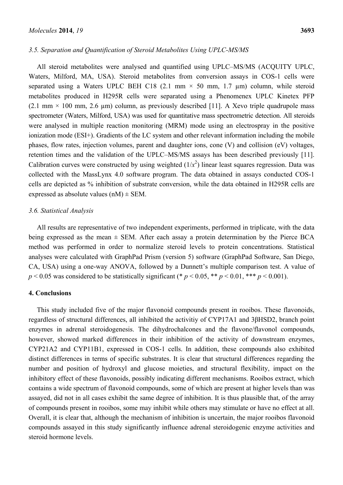#### *3.5. Separation and Quantification of Steroid Metabolites Using UPLC-MS/MS*

All steroid metabolites were analysed and quantified using UPLC–MS/MS (ACQUITY UPLC, Waters, Milford, MA, USA). Steroid metabolites from conversion assays in COS-1 cells were separated using a Waters UPLC BEH C18 (2.1 mm  $\times$  50 mm, 1.7 µm) column, while steroid metabolites produced in H295R cells were separated using a Phenomenex UPLC Kinetex PFP  $(2.1 \text{ mm} \times 100 \text{ mm}, 2.6 \text{ \mu m})$  column, as previously described [11]. A Xevo triple quadrupole mass spectrometer (Waters, Milford, USA) was used for quantitative mass spectrometric detection. All steroids were analysed in multiple reaction monitoring (MRM) mode using an electrospray in the positive ionization mode (ESI+). Gradients of the LC system and other relevant information including the mobile phases, flow rates, injection volumes, parent and daughter ions, cone (V) and collision (eV) voltages, retention times and the validation of the UPLC–MS/MS assays has been described previously [11]. Calibration curves were constructed by using weighted  $(1/x^2)$  linear least squares regression. Data was collected with the MassLynx 4.0 software program. The data obtained in assays conducted COS-1 cells are depicted as % inhibition of substrate conversion, while the data obtained in H295R cells are expressed as absolute values  $(nM) \pm SEM$ .

#### *3.6. Statistical Analysis*

All results are representative of two independent experiments, performed in triplicate, with the data being expressed as the mean  $\pm$  SEM. After each assay a protein determination by the Pierce BCA method was performed in order to normalize steroid levels to protein concentrations. Statistical analyses were calculated with GraphPad Prism (version 5) software (GraphPad Software, San Diego, CA, USA) using a one-way ANOVA, followed by a Dunnett's multiple comparison test. A value of  $p \le 0.05$  was considered to be statistically significant (\*  $p \le 0.05$ , \*\*  $p \le 0.01$ , \*\*\*  $p \le 0.001$ ).

#### **4. Conclusions**

This study included five of the major flavonoid compounds present in rooibos. These flavonoids, regardless of structural differences, all inhibited the activitiy of CYP17A1 and 3βHSD2, branch point enzymes in adrenal steroidogenesis. The dihydrochalcones and the flavone/flavonol compounds, however, showed marked differences in their inhibition of the activity of downstream enzymes, CYP21A2 and CYP11B1, expressed in COS-1 cells. In addition, these compounds also exhibited distinct differences in terms of specific substrates. It is clear that structural differences regarding the number and position of hydroxyl and glucose moieties, and structural flexibility, impact on the inhibitory effect of these flavonoids, possibly indicating different mechanisms. Rooibos extract, which contains a wide spectrum of flavonoid compounds, some of which are present at higher levels than was assayed, did not in all cases exhibit the same degree of inhibition. It is thus plausible that, of the array of compounds present in rooibos, some may inhibit while others may stimulate or have no effect at all. Overall, it is clear that, although the mechanism of inhibition is uncertain, the major rooibos flavonoid compounds assayed in this study significantly influence adrenal steroidogenic enzyme activities and steroid hormone levels.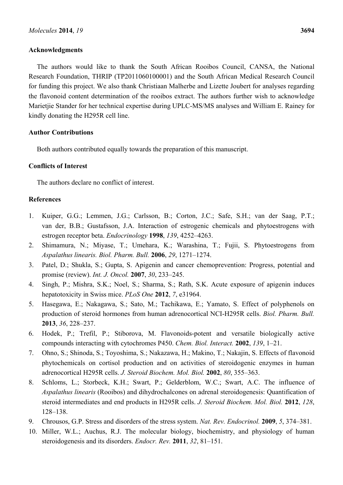### **Acknowledgments**

The authors would like to thank the South African Rooibos Council, CANSA, the National Research Foundation, THRIP (TP2011060100001) and the South African Medical Research Council for funding this project. We also thank Christiaan Malherbe and Lizette Joubert for analyses regarding the flavonoid content determination of the rooibos extract. The authors further wish to acknowledge Marietjie Stander for her technical expertise during UPLC-MS/MS analyses and William E. Rainey for kindly donating the H295R cell line.

#### **Author Contributions**

Both authors contributed equally towards the preparation of this manuscript.

# **Conflicts of Interest**

The authors declare no conflict of interest.

### **References**

- 1. Kuiper, G.G.; Lemmen, J.G.; Carlsson, B.; Corton, J.C.; Safe, S.H.; van der Saag, P.T.; van der, B.B.; Gustafsson, J.A. Interaction of estrogenic chemicals and phytoestrogens with estrogen receptor beta. *Endocrinology* **1998**, *139*, 4252–4263.
- 2. Shimamura, N.; Miyase, T.; Umehara, K.; Warashina, T.; Fujii, S. Phytoestrogens from *Aspalathus linearis. Biol. Pharm. Bull.* **2006**, *29*, 1271–1274.
- 3. Patel, D.; Shukla, S.; Gupta, S. Apigenin and cancer chemoprevention: Progress, potential and promise (review). *Int. J. Oncol.* **2007**, *30*, 233–245.
- 4. Singh, P.; Mishra, S.K.; Noel, S.; Sharma, S.; Rath, S.K. Acute exposure of apigenin induces hepatotoxicity in Swiss mice. *PLoS One* **2012**, *7*, e31964.
- 5. Hasegawa, E.; Nakagawa, S.; Sato, M.; Tachikawa, E.; Yamato, S. Effect of polyphenols on production of steroid hormones from human adrenocortical NCI-H295R cells. *Biol. Pharm. Bull.* **2013**, *36*, 228–237.
- 6. Hodek, P.; Trefil, P.; Stiborova, M. Flavonoids-potent and versatile biologically active compounds interacting with cytochromes P450. *Chem. Biol. Interact.* **2002**, *139*, 1–21.
- 7. Ohno, S.; Shinoda, S.; Toyoshima, S.; Nakazawa, H.; Makino, T.; Nakajin, S. Effects of flavonoid phytochemicals on cortisol production and on activities of steroidogenic enzymes in human adrenocortical H295R cells. *J. Steroid Biochem. Mol. Biol.* **2002**, *80*, 355–363.
- 8. Schloms, L.; Storbeck, K.H.; Swart, P.; Gelderblom, W.C.; Swart, A.C. The influence of *Aspalathus linearis* (Rooibos) and dihydrochalcones on adrenal steroidogenesis: Quantification of steroid intermediates and end products in H295R cells. *J. Steroid Biochem. Mol. Biol.* **2012**, *128*, 128–138.
- 9. Chrousos, G.P. Stress and disorders of the stress system. *Nat. Rev. Endocrinol.* **2009**, *5*, 374–381.
- 10. Miller, W.L.; Auchus, R.J. The molecular biology, biochemistry, and physiology of human steroidogenesis and its disorders. *Endocr. Rev.* **2011**, *32*, 81–151.